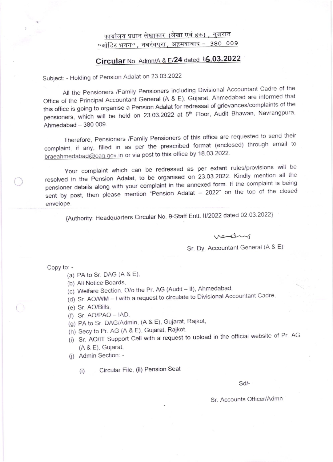## कार्यालय प्रधान लेखाकार (लेखा एवं हक) , गुजरात "ऑडिट भवन" , नवरंगपुरा , अहमदाबाद - 380 009

## $Circular No.$  Admn/A &  $E/24$  dated  $16.03.2022$

Subject: - Holding of Pension Adalat on 23.03.2022

All the Pensioners /Family Pensioners including Divisional Accountant Cadre of the Office of the Principal Accountant General (A & E), Gujarat, Ahmedabad are informed that this office is going to organise a Pension Adalat for redressal of grievances/complaints of the pensioners, which will be held on 23.03.2022 at 5<sup>th</sup> Floor, Audit Bhawan, Navrangpura,  $Ahmedabad - 380009.$ 

Therefore, Pensioners /Family Pensioners of this office are requested to send their complaint, if any, filled in as per the prescribed format (enclosed) through email to braeahmedabad@cag.gov.in or via post to this office by 18.03.2022.

Your complaint which can be redressed as per extant rules/provisions will be resolved in the Pension Adalat, to be organised on 23.03.2022. Kindly mention all the pensioner details along with your complaint in the annexed form lf the complaint is being sent by post, then please mention "Pension Adalat - 2022" on the top of the closed envelope.

{Authority: Headquarters Circular No. 9-Staff Entt. II/2022 dated 02.03.2022}

verding

Sr. Dy. Accountant General (A & E)

Copy to; -

- (a) PA to Sr. DAG  $(A & E)$ ,
- (b) All Notice Boards.
- (c) Welfare Section, O/o the Pr. AG (Audit II), Ahmedabad,
- (d) Sr. AO/WM I with a request to circulate to Divisional Accountant Cadre,
- (e) Sr. AO/Bills,
- $(f)$  Sr.  $AO/PAO IAD$ ,
- (g) PA to Sr. DAG/Admin, (A & E), Gujarat, Rajkot,
- (h) Secy to Pr. AG (A & E), Gujarat, Rajkot,
- (i) Sr. AO/IT Support Cell with a request to upload in the official website of Pr. AG (A & E), Gujarat,

(i) Admin Section: -

(i) Circular File, (ii) Pension Seat

sd/-

Sr. Accounts Officer/Admn